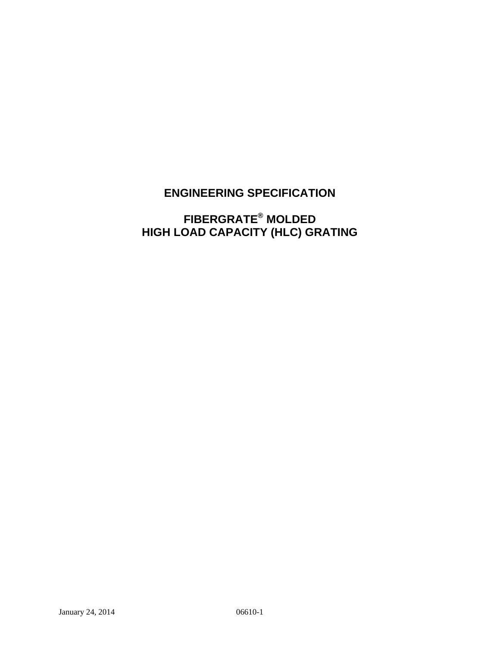## **ENGINEERING SPECIFICATION**

# **FIBERGRATE® MOLDED HIGH LOAD CAPACITY (HLC) GRATING**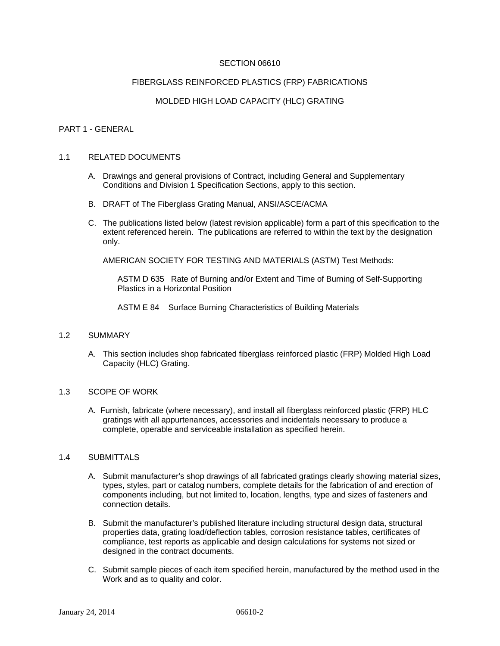## SECTION 06610

#### FIBERGLASS REINFORCED PLASTICS (FRP) FABRICATIONS

## MOLDED HIGH LOAD CAPACITY (HLC) GRATING

#### PART 1 - GENERAL

#### 1.1 RELATED DOCUMENTS

- A. Drawings and general provisions of Contract, including General and Supplementary Conditions and Division 1 Specification Sections, apply to this section.
- B. DRAFT of The Fiberglass Grating Manual, ANSI/ASCE/ACMA
- C. The publications listed below (latest revision applicable) form a part of this specification to the extent referenced herein. The publications are referred to within the text by the designation only.

AMERICAN SOCIETY FOR TESTING AND MATERIALS (ASTM) Test Methods:

ASTM D 635 Rate of Burning and/or Extent and Time of Burning of Self-Supporting Plastics in a Horizontal Position

ASTM E 84 Surface Burning Characteristics of Building Materials

#### 1.2 SUMMARY

A. This section includes shop fabricated fiberglass reinforced plastic (FRP) Molded High Load Capacity (HLC) Grating.

#### 1.3 SCOPE OF WORK

A. Furnish, fabricate (where necessary), and install all fiberglass reinforced plastic (FRP) HLC gratings with all appurtenances, accessories and incidentals necessary to produce a complete, operable and serviceable installation as specified herein.

## 1.4 SUBMITTALS

- A. Submit manufacturer's shop drawings of all fabricated gratings clearly showing material sizes, types, styles, part or catalog numbers, complete details for the fabrication of and erection of components including, but not limited to, location, lengths, type and sizes of fasteners and connection details.
- B. Submit the manufacturer's published literature including structural design data, structural properties data, grating load/deflection tables, corrosion resistance tables, certificates of compliance, test reports as applicable and design calculations for systems not sized or designed in the contract documents.
- C. Submit sample pieces of each item specified herein, manufactured by the method used in the Work and as to quality and color.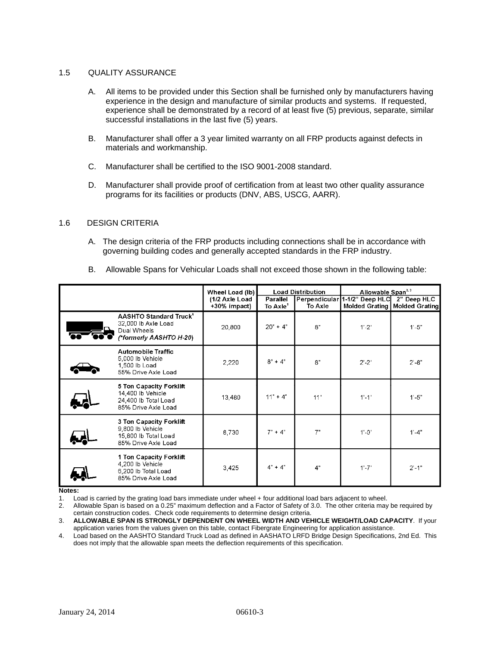#### 1.5 QUALITY ASSURANCE

- A. All items to be provided under this Section shall be furnished only by manufacturers having experience in the design and manufacture of similar products and systems. If requested, experience shall be demonstrated by a record of at least five (5) previous, separate, similar successful installations in the last five (5) years.
- B. Manufacturer shall offer a 3 year limited warranty on all FRP products against defects in materials and workmanship.
- C. Manufacturer shall be certified to the ISO 9001-2008 standard.
- D. Manufacturer shall provide proof of certification from at least two other quality assurance programs for its facilities or products (DNV, ABS, USCG, AARR).

#### 1.6 DESIGN CRITERIA

A. The design criteria of the FRP products including connections shall be in accordance with governing building codes and generally accepted standards in the FRP industry.

|  | B. Allowable Spans for Vehicular Loads shall not exceed those shown in the following table: |  |  |  |  |  |
|--|---------------------------------------------------------------------------------------------|--|--|--|--|--|
|--|---------------------------------------------------------------------------------------------|--|--|--|--|--|

|                                                                                                           | Wheel Load (lb)                | <b>Load Distribution</b>         |                          | Allowable Span <sup>2,3</sup>     |                               |
|-----------------------------------------------------------------------------------------------------------|--------------------------------|----------------------------------|--------------------------|-----------------------------------|-------------------------------|
|                                                                                                           | (1/2 Axle Load<br>+30% impact) | Parallel<br>To Axle <sup>1</sup> | Perpendicular<br>To Axle | 1-1/2" Deep HLC<br>Molded Grating | 2" Deep HLC<br>Molded Grating |
| <b>AASHTO Standard Truck<sup>4</sup></b><br>32,000 lb Axle Load<br>Dual Wheels<br>(*formerly AASHTO H-20) | 20,800                         | $20" + 4"$                       | 8"                       | $1' - 2"$                         | $1' - 5"$                     |
| <b>Automobile Traffic</b><br>5,000 lb Vehicle<br>1,500 lb Load<br>55% Drive Axle Load                     | 2,220                          | $8'' + 4''$                      | 8"                       | $2^{\circ} - 2^{\circ}$           | $2^{\circ} - 8^{\circ}$       |
| 5 Ton Capacity Forklift<br>14,400 lb Vehicle<br>24,400 lb Total Load<br>85% Drive Axle Load               | 13,480                         | $11" + 4"$                       | 11"                      | $1'-1$ "                          | $1'-5"$                       |
| 3 Ton Capacity Forklift<br>9,800 lb Vehicle<br>15,800 lb Total Load<br>85% Drive Axle Load                | 8,730                          | $7" + 4"$                        | 7"                       | $1' - 0''$                        | $1' - 4"$                     |
| 1 Ton Capacity Forklift<br>4,200 lb Vehicle<br>6,200 lb Total Load<br>85% Drive Axle Load                 | 3,425                          | $4^n + 4^n$                      | 4"                       | $1' - 7"$                         | $2' - 1"$                     |

**Notes:** 

1. Load is carried by the grating load bars immediate under wheel + four additional load bars adjacent to wheel.

2. Allowable Span is based on a 0.25" maximum deflection and a Factor of Safety of 3.0. The other criteria may be required by certain construction codes. Check code requirements to determine design criteria.

3. **ALLOWABLE SPAN IS STRONGLY DEPENDENT ON WHEEL WIDTH AND VEHICLE WEIGHT/LOAD CAPACITY**. If your application varies from the values given on this table, contact Fibergrate Engineering for application assistance.

4. Load based on the AASHTO Standard Truck Load as defined in AASHATO LRFD Bridge Design Specifications, 2nd Ed. This does not imply that the allowable span meets the deflection requirements of this specification.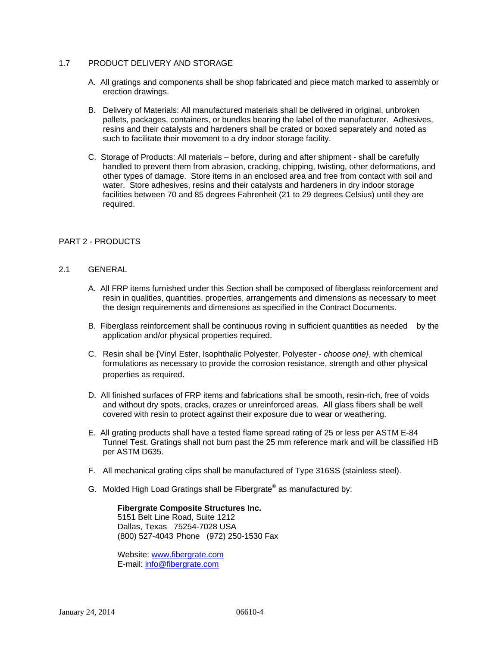## 1.7 PRODUCT DELIVERY AND STORAGE

- A. All gratings and components shall be shop fabricated and piece match marked to assembly or erection drawings.
- B. Delivery of Materials: All manufactured materials shall be delivered in original, unbroken pallets, packages, containers, or bundles bearing the label of the manufacturer. Adhesives, resins and their catalysts and hardeners shall be crated or boxed separately and noted as such to facilitate their movement to a dry indoor storage facility.
- C. Storage of Products: All materials before, during and after shipment shall be carefully handled to prevent them from abrasion, cracking, chipping, twisting, other deformations, and other types of damage. Store items in an enclosed area and free from contact with soil and water. Store adhesives, resins and their catalysts and hardeners in dry indoor storage facilities between 70 and 85 degrees Fahrenheit (21 to 29 degrees Celsius) until they are required.

## PART 2 - PRODUCTS

## 2.1 GENERAL

- A. All FRP items furnished under this Section shall be composed of fiberglass reinforcement and resin in qualities, quantities, properties, arrangements and dimensions as necessary to meet the design requirements and dimensions as specified in the Contract Documents.
- B. Fiberglass reinforcement shall be continuous roving in sufficient quantities as needed by the application and/or physical properties required.
- C. Resin shall be {Vinyl Ester, Isophthalic Polyester, Polyester *choose one}*, with chemical formulations as necessary to provide the corrosion resistance, strength and other physical properties as required.
- D. All finished surfaces of FRP items and fabrications shall be smooth, resin-rich, free of voids and without dry spots, cracks, crazes or unreinforced areas. All glass fibers shall be well covered with resin to protect against their exposure due to wear or weathering.
- E. All grating products shall have a tested flame spread rating of 25 or less per ASTM E-84 Tunnel Test. Gratings shall not burn past the 25 mm reference mark and will be classified HB per ASTM D635.
- F. All mechanical grating clips shall be manufactured of Type 316SS (stainless steel).
- G. Molded High Load Gratings shall be Fibergrate® as manufactured by:

**Fibergrate Composite Structures Inc.** 5151 Belt Line Road, Suite 1212 Dallas, Texas 75254-7028 USA (800) 527-4043 Phone (972) 250-1530 Fax

Website: www.fibergrate.com E-mail: info@fibergrate.com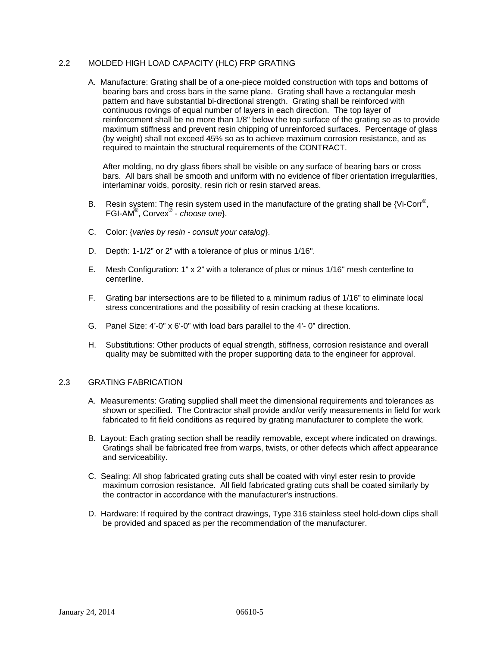## 2.2 MOLDED HIGH LOAD CAPACITY (HLC) FRP GRATING

A. Manufacture: Grating shall be of a one-piece molded construction with tops and bottoms of bearing bars and cross bars in the same plane. Grating shall have a rectangular mesh pattern and have substantial bi-directional strength. Grating shall be reinforced with continuous rovings of equal number of layers in each direction. The top layer of reinforcement shall be no more than 1/8" below the top surface of the grating so as to provide maximum stiffness and prevent resin chipping of unreinforced surfaces. Percentage of glass (by weight) shall not exceed 45% so as to achieve maximum corrosion resistance, and as required to maintain the structural requirements of the CONTRACT.

After molding, no dry glass fibers shall be visible on any surface of bearing bars or cross bars. All bars shall be smooth and uniform with no evidence of fiber orientation irregularities, interlaminar voids, porosity, resin rich or resin starved areas.

- B. Resin system: The resin system used in the manufacture of the grating shall be {Vi-Corr**®** , FGI-AM**®** , Corvex**®** - *choose one*}.
- C. Color: {*varies by resin consult your catalog*}.
- D. Depth: 1-1/2" or 2" with a tolerance of plus or minus 1/16".
- E. Mesh Configuration: 1" x 2" with a tolerance of plus or minus 1/16" mesh centerline to centerline.
- F. Grating bar intersections are to be filleted to a minimum radius of 1/16" to eliminate local stress concentrations and the possibility of resin cracking at these locations.
- G. Panel Size: 4'-0" x 6'-0" with load bars parallel to the 4'- 0" direction.
- H. Substitutions: Other products of equal strength, stiffness, corrosion resistance and overall quality may be submitted with the proper supporting data to the engineer for approval.

#### 2.3 GRATING FABRICATION

- A. Measurements: Grating supplied shall meet the dimensional requirements and tolerances as shown or specified. The Contractor shall provide and/or verify measurements in field for work fabricated to fit field conditions as required by grating manufacturer to complete the work.
- B. Layout: Each grating section shall be readily removable, except where indicated on drawings. Gratings shall be fabricated free from warps, twists, or other defects which affect appearance and serviceability.
- C. Sealing: All shop fabricated grating cuts shall be coated with vinyl ester resin to provide maximum corrosion resistance. All field fabricated grating cuts shall be coated similarly by the contractor in accordance with the manufacturer's instructions.
- D. Hardware: If required by the contract drawings, Type 316 stainless steel hold-down clips shall be provided and spaced as per the recommendation of the manufacturer.